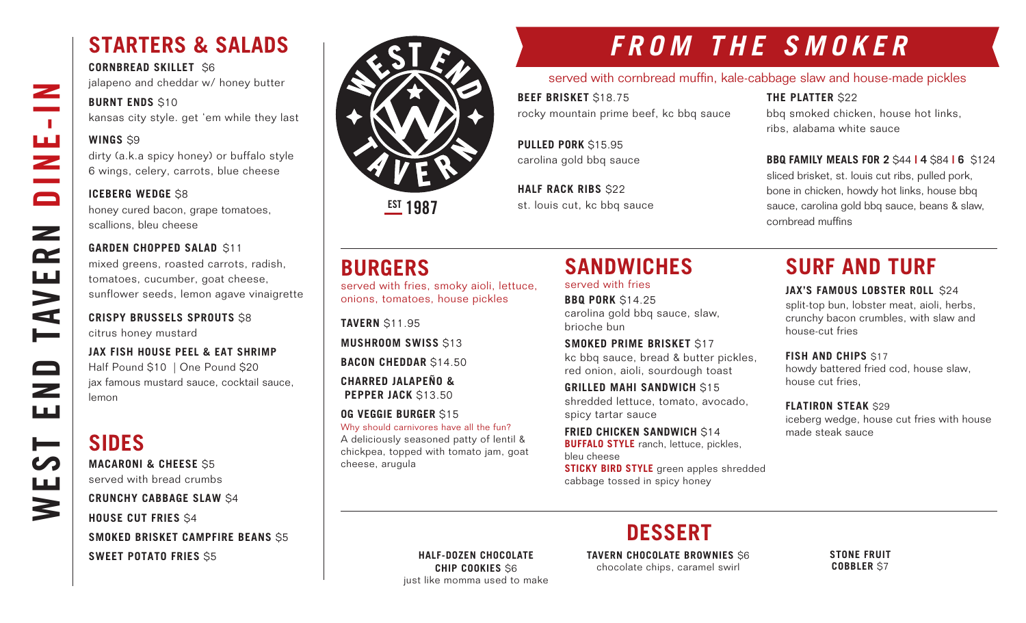## **STARTERS & SALADS**

**CORNBREAD SKILLET** \$6 jalapeno and cheddar w/ honey butter

#### **BURNT ENDS \$10**

kansas city style. get 'em while they last

#### **WINGS** \$9

WEST END TAVERN DINE-IN

Z

 $\sim 10$ 

브

 $\Box$ 

 $\mathbf{z}$ 

 $\mathbf{r}$ 

**AVE** 

 $\qquad \qquad \Box$ 

 $\overline{\phantom{0}}$ ш

⊨

щ

3

dirty (a.k.a spicy honey) or buffalo style 6 wings, celery, carrots, blue cheese

#### **ICEBERG WEDGE \$8**

honey cured bacon, grape tomatoes, scallions, bleu cheese

#### **GARDEN CHOPPED SALAD \$11**

mixed greens, roasted carrots, radish, tomatoes, cucumber, goat cheese, sunflower seeds, lemon agave vinaigrette

#### **CRISPY BRUSSELS SPROUTS** \$8 citrus honey mustard

**JAX FISH HOUSE PEEL & EAT SHRIMP** Half Pound \$10 | One Pound \$20 jax famous mustard sauce, cocktail sauce, lemon

## **SIDES**

**MACARONI & CHEESE** \$5 served with bread crumbs

#### **CRUNCHY CABBAGE SLAW** \$4

**HOUSE CUT FRIES** \$4 **SMOKED BRISKET CAMPFIRE BEANS** \$5 **SWEET POTATO FRIES** \$5



**EST 1987** 

## **FROM THE SMOKER**

#### served with cornbread muffin, kale-cabbage slaw and house-made pickles

**BEEF BRISKET** \$18.75 rocky mountain prime beef, kc bbq sauce

**THE PLATTER** \$22 bbq smoked chicken, house hot links, ribs, alabama white sauce

**PULLED PORK** \$15.95 carolina gold bbq sauce

**HALF RACK RIBS \$22** st. louis cut, kc bbq sauce

#### **BBQ FAMILY MEALS FOR 2** \$44 **| 4** \$84 **| 6** \$124

sliced brisket, st. louis cut ribs, pulled pork, bone in chicken, howdy hot links, house bbq sauce, carolina gold bbq sauce, beans & slaw, cornbread muffins

served with fries, smoky aioli, lettuce, onions, tomatoes, house pickles

**TAVERN** \$11.95 **MUSHROOM SWISS** \$13

**BURGERS**

### **BACON CHEDDAR** \$14.50

**CHARRED JALAPEÑO & PEPPER JACK \$13.50** 

#### **OG VEGGIE BURGER** \$15

Why should carnivores have all the fun? A deliciously seasoned patty of lentil & chickpea, topped with tomato jam, goat cheese, arugula

#### **SANDWICHES**  served with fries

**BBQ PORK** \$14.25 carolina gold bbq sauce, slaw, brioche bun

**SMOKED PRIME BRISKET** \$17 kc bbq sauce, bread & butter pickles, red onion, aioli, sourdough toast

**GRILLED MAHI SANDWICH** \$15 shredded lettuce, tomato, avocado, spicy tartar sauce

**FRIED CHICKEN SANDWICH S14 BUFFALO STYLE** ranch, lettuce, pickles, bleu cheese

**STICKY BIRD STYLE** green apples shredded cabbage tossed in spicy honey

## **SURF AND TURF**

#### **JAX'S FAMOUS LOBSTER ROLL \$24**

split-top bun, lobster meat, aioli, herbs, crunchy bacon crumbles, with slaw and house-cut fries

**FISH AND CHIPS \$17** 

howdy battered fried cod, house slaw, house cut fries,

**FLATIRON STEAK** \$29

iceberg wedge, house cut fries with house made steak sauce

**DESSERT**

**HALF-DOZEN CHOCOLATE CHIP COOKIES** \$6 just like momma used to make **TAVERN CHOCOLATE BROWNIES** \$6 chocolate chips, caramel swirl

**STONE FRUIT COBBLER** \$7